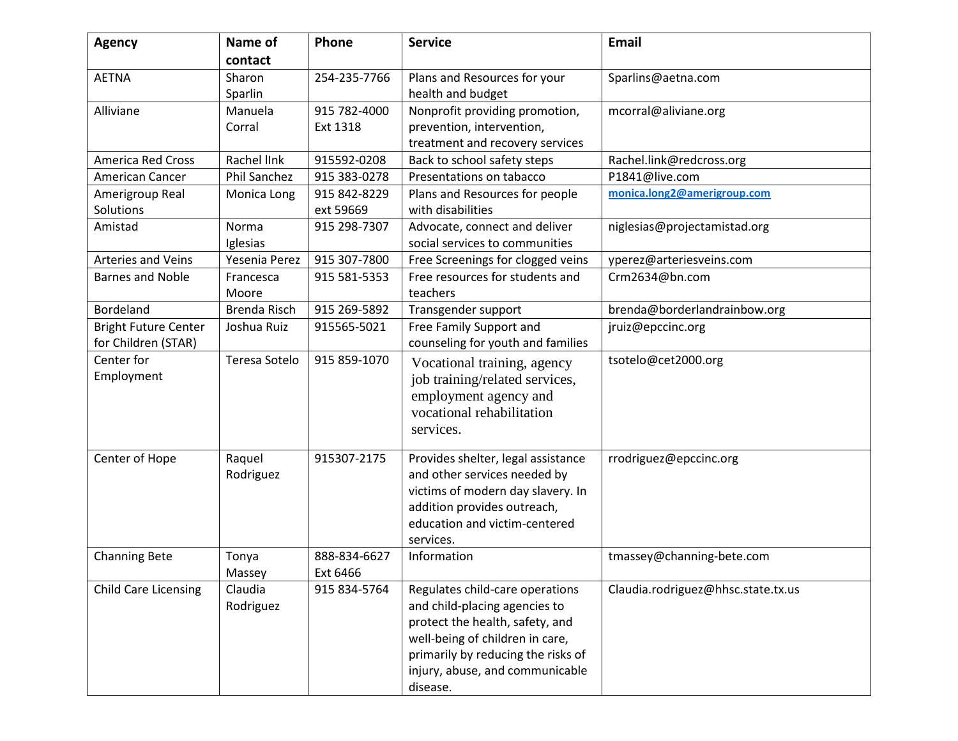| <b>Agency</b>               | Name of             | Phone        | <b>Service</b>                     | <b>Email</b>                       |
|-----------------------------|---------------------|--------------|------------------------------------|------------------------------------|
|                             | contact             |              |                                    |                                    |
| <b>AETNA</b>                | Sharon              | 254-235-7766 | Plans and Resources for your       | Sparlins@aetna.com                 |
|                             | Sparlin             |              | health and budget                  |                                    |
| Alliviane                   | Manuela             | 915 782-4000 | Nonprofit providing promotion,     | mcorral@aliviane.org               |
|                             | Corral              | Ext 1318     | prevention, intervention,          |                                    |
|                             |                     |              | treatment and recovery services    |                                    |
| <b>America Red Cross</b>    | Rachel link         | 915592-0208  | Back to school safety steps        | Rachel.link@redcross.org           |
| American Cancer             | <b>Phil Sanchez</b> | 915 383-0278 | Presentations on tabacco           | P1841@live.com                     |
| Amerigroup Real             | Monica Long         | 915 842-8229 | Plans and Resources for people     | monica.long2@amerigroup.com        |
| Solutions                   |                     | ext 59669    | with disabilities                  |                                    |
| Amistad                     | Norma               | 915 298-7307 | Advocate, connect and deliver      | niglesias@projectamistad.org       |
|                             | Iglesias            |              | social services to communities     |                                    |
| <b>Arteries and Veins</b>   | Yesenia Perez       | 915 307-7800 | Free Screenings for clogged veins  | yperez@arteriesveins.com           |
| <b>Barnes and Noble</b>     | Francesca           | 915 581-5353 | Free resources for students and    | Crm2634@bn.com                     |
|                             | Moore               |              | teachers                           |                                    |
| Bordeland                   | <b>Brenda Risch</b> | 915 269-5892 | Transgender support                | brenda@borderlandrainbow.org       |
| <b>Bright Future Center</b> | Joshua Ruiz         | 915565-5021  | Free Family Support and            | jruiz@epccinc.org                  |
| for Children (STAR)         |                     |              | counseling for youth and families  |                                    |
| Center for                  | Teresa Sotelo       | 915 859-1070 | Vocational training, agency        | tsotelo@cet2000.org                |
| Employment                  |                     |              | job training/related services,     |                                    |
|                             |                     |              | employment agency and              |                                    |
|                             |                     |              | vocational rehabilitation          |                                    |
|                             |                     |              | services.                          |                                    |
|                             |                     |              |                                    |                                    |
| Center of Hope              | Raquel              | 915307-2175  | Provides shelter, legal assistance | rrodriguez@epccinc.org             |
|                             | Rodriguez           |              | and other services needed by       |                                    |
|                             |                     |              | victims of modern day slavery. In  |                                    |
|                             |                     |              | addition provides outreach,        |                                    |
|                             |                     |              | education and victim-centered      |                                    |
|                             |                     |              | services.                          |                                    |
| <b>Channing Bete</b>        | Tonya               | 888-834-6627 | Information                        | tmassey@channing-bete.com          |
|                             | Massey              | Ext 6466     |                                    |                                    |
| <b>Child Care Licensing</b> | Claudia             | 915 834-5764 | Regulates child-care operations    | Claudia.rodriguez@hhsc.state.tx.us |
|                             | Rodriguez           |              | and child-placing agencies to      |                                    |
|                             |                     |              | protect the health, safety, and    |                                    |
|                             |                     |              | well-being of children in care,    |                                    |
|                             |                     |              | primarily by reducing the risks of |                                    |
|                             |                     |              | injury, abuse, and communicable    |                                    |
|                             |                     |              | disease.                           |                                    |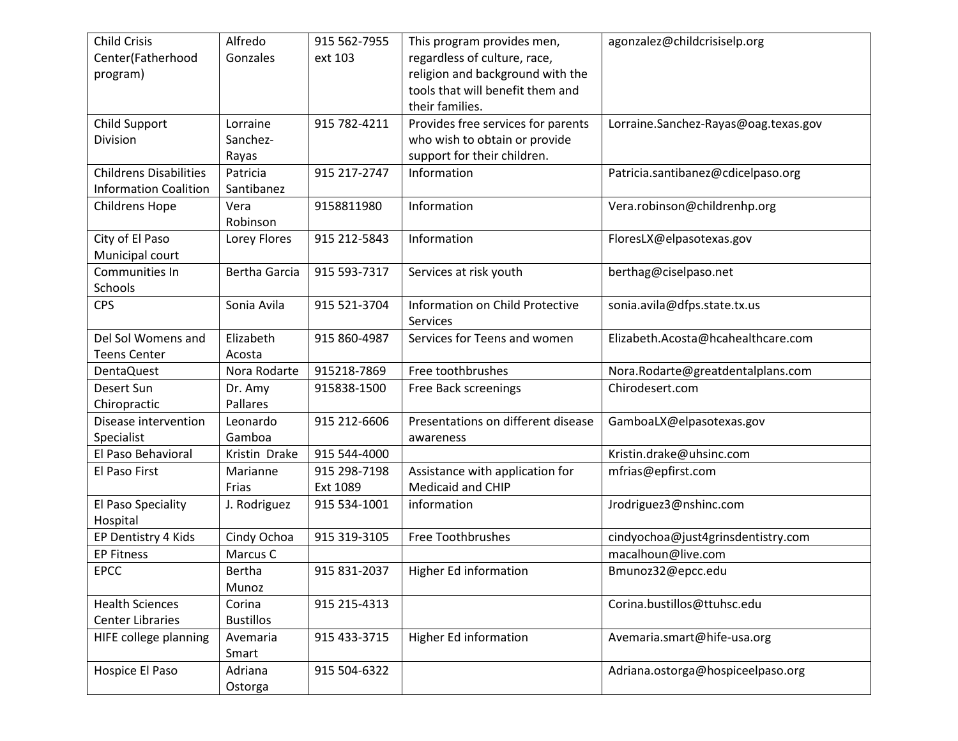| <b>Child Crisis</b>           | Alfredo          | 915 562-7955 | This program provides men,         | agonzalez@childcrisiselp.org         |
|-------------------------------|------------------|--------------|------------------------------------|--------------------------------------|
| Center(Fatherhood             | Gonzales         | ext 103      | regardless of culture, race,       |                                      |
| program)                      |                  |              | religion and background with the   |                                      |
|                               |                  |              | tools that will benefit them and   |                                      |
|                               |                  |              | their families.                    |                                      |
| Child Support                 | Lorraine         | 915 782-4211 | Provides free services for parents | Lorraine.Sanchez-Rayas@oag.texas.gov |
| Division                      | Sanchez-         |              | who wish to obtain or provide      |                                      |
|                               | Rayas            |              | support for their children.        |                                      |
| <b>Childrens Disabilities</b> | Patricia         | 915 217-2747 | Information                        | Patricia.santibanez@cdicelpaso.org   |
| <b>Information Coalition</b>  | Santibanez       |              |                                    |                                      |
| <b>Childrens Hope</b>         | Vera             | 9158811980   | Information                        | Vera.robinson@childrenhp.org         |
|                               | Robinson         |              |                                    |                                      |
| City of El Paso               | Lorey Flores     | 915 212-5843 | Information                        | FloresLX@elpasotexas.gov             |
| Municipal court               |                  |              |                                    |                                      |
| Communities In                | Bertha Garcia    | 915 593-7317 | Services at risk youth             | berthag@ciselpaso.net                |
| Schools                       |                  |              |                                    |                                      |
| <b>CPS</b>                    | Sonia Avila      | 915 521-3704 | Information on Child Protective    | sonia.avila@dfps.state.tx.us         |
|                               |                  |              | Services                           |                                      |
| Del Sol Womens and            | Elizabeth        | 915 860-4987 | Services for Teens and women       | Elizabeth.Acosta@hcahealthcare.com   |
| <b>Teens Center</b>           | Acosta           |              |                                    |                                      |
| <b>DentaQuest</b>             | Nora Rodarte     | 915218-7869  | Free toothbrushes                  | Nora.Rodarte@greatdentalplans.com    |
| Desert Sun                    | Dr. Amy          | 915838-1500  | Free Back screenings               | Chirodesert.com                      |
| Chiropractic                  | Pallares         |              |                                    |                                      |
| Disease intervention          | Leonardo         | 915 212-6606 | Presentations on different disease | GamboaLX@elpasotexas.gov             |
| Specialist                    | Gamboa           |              | awareness                          |                                      |
| El Paso Behavioral            | Kristin Drake    | 915 544-4000 |                                    | Kristin.drake@uhsinc.com             |
| El Paso First                 | Marianne         | 915 298-7198 | Assistance with application for    | mfrias@epfirst.com                   |
|                               | Frias            | Ext 1089     | <b>Medicaid and CHIP</b>           |                                      |
| El Paso Speciality            | J. Rodriguez     | 915 534-1001 | information                        | Jrodriguez3@nshinc.com               |
| Hospital                      |                  |              |                                    |                                      |
| EP Dentistry 4 Kids           | Cindy Ochoa      | 915 319-3105 | Free Toothbrushes                  | cindyochoa@just4grinsdentistry.com   |
| <b>EP Fitness</b>             | Marcus C         |              |                                    | macalhoun@live.com                   |
| <b>EPCC</b>                   | Bertha           | 915 831-2037 | Higher Ed information              | Bmunoz32@epcc.edu                    |
|                               | Munoz            |              |                                    |                                      |
| <b>Health Sciences</b>        | Corina           | 915 215-4313 |                                    | Corina.bustillos@ttuhsc.edu          |
| <b>Center Libraries</b>       | <b>Bustillos</b> |              |                                    |                                      |
| HIFE college planning         | Avemaria         | 915 433-3715 | Higher Ed information              | Avemaria.smart@hife-usa.org          |
|                               | Smart            |              |                                    |                                      |
| Hospice El Paso               | Adriana          | 915 504-6322 |                                    | Adriana.ostorga@hospiceelpaso.org    |
|                               |                  |              |                                    |                                      |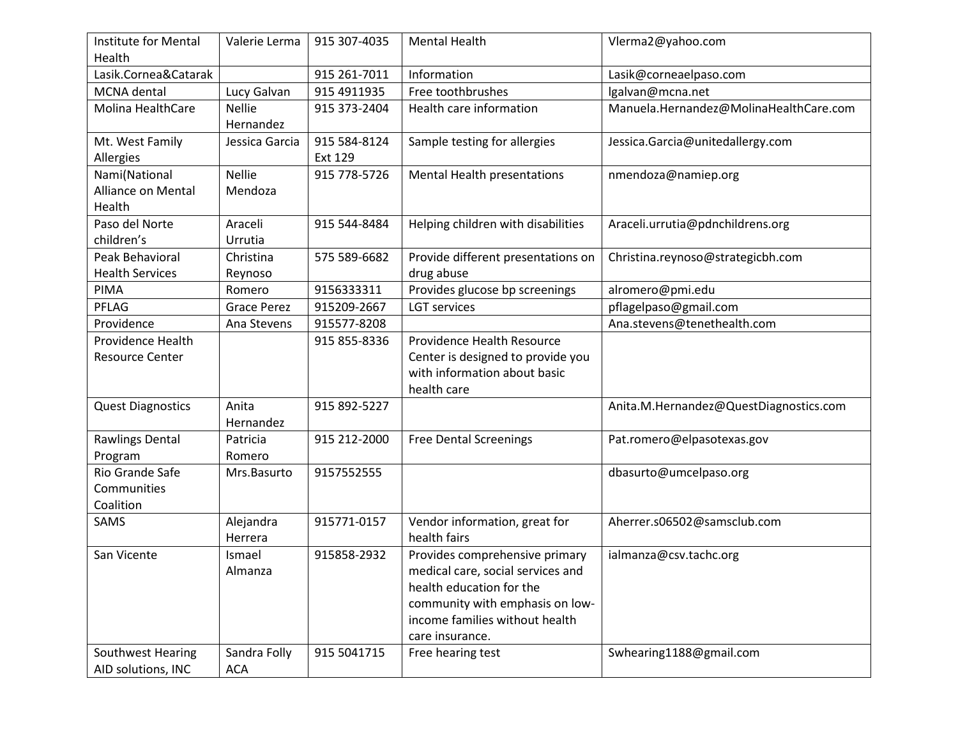| <b>Institute for Mental</b><br>Health | Valerie Lerma      | 915 307-4035 | <b>Mental Health</b>               | Vlerma2@yahoo.com                      |
|---------------------------------------|--------------------|--------------|------------------------------------|----------------------------------------|
| Lasik.Cornea&Catarak                  |                    | 915 261-7011 | Information                        | Lasik@corneaelpaso.com                 |
| MCNA dental                           | Lucy Galvan        | 915 4911935  | Free toothbrushes                  | lgalvan@mcna.net                       |
| <b>Molina HealthCare</b>              | <b>Nellie</b>      | 915 373-2404 | Health care information            | Manuela.Hernandez@MolinaHealthCare.com |
|                                       | Hernandez          |              |                                    |                                        |
| Mt. West Family                       | Jessica Garcia     | 915 584-8124 | Sample testing for allergies       | Jessica.Garcia@unitedallergy.com       |
| Allergies                             |                    | Ext 129      |                                    |                                        |
| Nami(National                         | <b>Nellie</b>      | 915 778-5726 | Mental Health presentations        | nmendoza@namiep.org                    |
| <b>Alliance on Mental</b>             | Mendoza            |              |                                    |                                        |
| Health                                |                    |              |                                    |                                        |
| Paso del Norte                        | Araceli            | 915 544-8484 | Helping children with disabilities | Araceli.urrutia@pdnchildrens.org       |
| children's                            | Urrutia            |              |                                    |                                        |
| Peak Behavioral                       | Christina          | 575 589-6682 | Provide different presentations on | Christina.reynoso@strategicbh.com      |
| <b>Health Services</b>                | Reynoso            |              | drug abuse                         |                                        |
| PIMA                                  | Romero             | 9156333311   | Provides glucose bp screenings     | alromero@pmi.edu                       |
| PFLAG                                 | <b>Grace Perez</b> | 915209-2667  | <b>LGT</b> services                | pflagelpaso@gmail.com                  |
| Providence                            | Ana Stevens        | 915577-8208  |                                    | Ana.stevens@tenethealth.com            |
| Providence Health                     |                    | 915 855-8336 | Providence Health Resource         |                                        |
| <b>Resource Center</b>                |                    |              | Center is designed to provide you  |                                        |
|                                       |                    |              | with information about basic       |                                        |
|                                       |                    |              | health care                        |                                        |
| <b>Quest Diagnostics</b>              | Anita              | 915 892-5227 |                                    | Anita.M.Hernandez@QuestDiagnostics.com |
|                                       | Hernandez          |              |                                    |                                        |
| Rawlings Dental                       | Patricia           | 915 212-2000 | <b>Free Dental Screenings</b>      | Pat.romero@elpasotexas.gov             |
| Program                               | Romero             |              |                                    |                                        |
| Rio Grande Safe                       | Mrs.Basurto        | 9157552555   |                                    | dbasurto@umcelpaso.org                 |
| Communities                           |                    |              |                                    |                                        |
| Coalition                             |                    |              |                                    |                                        |
| SAMS                                  | Alejandra          | 915771-0157  | Vendor information, great for      | Aherrer.s06502@samsclub.com            |
|                                       | Herrera            |              | health fairs                       |                                        |
| San Vicente                           | Ismael             | 915858-2932  | Provides comprehensive primary     | ialmanza@csv.tachc.org                 |
|                                       | Almanza            |              | medical care, social services and  |                                        |
|                                       |                    |              | health education for the           |                                        |
|                                       |                    |              | community with emphasis on low-    |                                        |
|                                       |                    |              | income families without health     |                                        |
|                                       |                    |              | care insurance.                    |                                        |
| Southwest Hearing                     | Sandra Folly       | 915 5041715  | Free hearing test                  | Swhearing1188@gmail.com                |
| AID solutions, INC                    | ACA                |              |                                    |                                        |